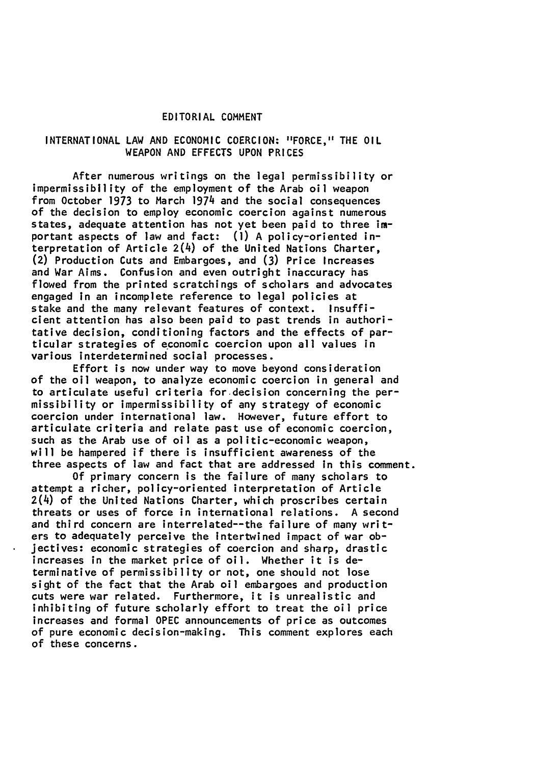## EDITORIAL **COMMENT**

### **INTERNATIONAL** LAW **AND ECONOMIC COERCION:** "FORCE," THE OIL **WEAPON AND EFFECTS UPON** PRICES

After numerous writings on the legal permissibility or impermissibility of the employment of the Arab oil weapon from October 1973 to March 1974 and the social consequences of the decision to employ economic coercion against numerous states, adequate attention has not yet been paid to three **im**portant aspects of law and fact: **(1) A** policy-oriented interpretation of Article  $2(4)$  of the United Nations Charter, (2) Production Cuts and Embargoes, and **(3)** Price Increases and War Aims. Confusion and even outright inaccuracy has flowed from the printed scratchings of scholars and advocates engaged in an incomplete reference to legal policies at stake and the many relevant features of context. Insufficient attention has also been paid to past trends in authoritative decision, conditioning factors and the effects of particular strategies of economic coercion upon all values in various interdetermined social processes.

Effort is now under way to move beyond consideration of the oil weapon, to analyze economic coercion in general and to articulate useful criteria for-decision concerning the permissibility or impermissibility of any strategy of economic coercion under international law. However, future effort to articulate criteria and relate past use of economic coercion, such as the Arab use of oil as a politic-economic weapon, will be hampered if there is insufficient awareness of the three aspects of law and fact that are addressed in this comment.

**Of** primary concern is the failure of many scholars to attempt a richer, policy-oriented interpretation of Article  $2(4)$  of the United Nations Charter, which proscribes certain threats or uses of force in international relations. **A** second and third concern are interrelated--the failure of many writers to adequately perceive the Intertwined impact of war objectives: economic strategies of coercion and sharp, drastic increases in the market price of oil. Whether it is determinative of permissibility or not, one should not lose sight of the fact that the Arab oil embargoes and production cuts were war related. Furthermore, it is unrealistic and inhibiting of future scholarly effort to treat the oil price increases and formal **OPEC** announcements of price as outcomes of pure economic decision-making. This comment explores each of these concerns.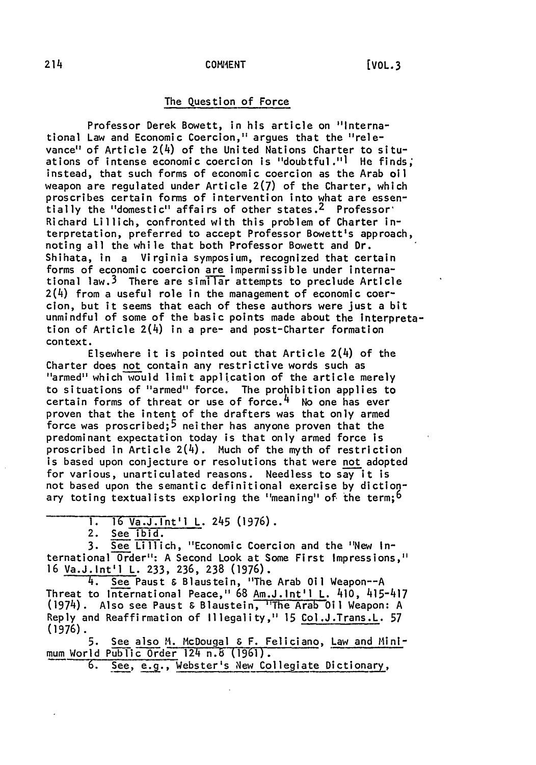# The Question of Force

Professor Derek Bowett, in his article on "International Law and Economic Coercion," argues that the "relevance" of Article 2(4) of the United Nations Charter to situations of intense economic coercion is "doubtful."] He finds; instead, that such forms of economic coercion as the Arab oil weapon are regulated under Article **2(7)** of the Charter, which proscribes certain forms of intervention into what are essentially the "domestic" affairs of other states. 2 Professor' Richard Lillich, confronted with this problem of Charter interpretation, preferred to accept Professor Bowett's approach, noting all the while that both Professor Bowett and Dr. Shihata, in a Virginia symposium, recognized that certain forms of economic coercion are impermissible under international law.<sup>3</sup> There are similar attempts to preclude Article 2(4) from a useful role in the management of economic coercion, but it seems that each of these authors were just a bit unmindful of some of the basic points made about the Interpretation of Article 2(4) in a pre- and post-Charter formation context.

Elsewhere it is pointed out that Article 2(4) of the Charter does not contain any restrictive words such as "armed" which would limit application of the article merely to situations of "armed" force. The prohibition applies to certain forms of threat or use of force.<sup>4</sup> No one has ever proven that the intent of the drafters was that only armed force was proscribed;5 neither has anyone proven that the predominant expectation today is that only armed force is proscribed in Article  $2(4)$ . Much of the myth of restriction is based upon conjecture or resolutions that were not adopted for various, unarticulated reasons. Needless to say it is not based upon the semantic definitional exercise **by** dictionary toting textualists exploring the "meaning" of the term;<sup>6</sup>

2. See ibid.

3. See Lillich, "Economic Coercion and the "New International Order": A Second Look at Some First Impressions," 16 Va.J.Int'l L. 233, 236, **238** (1976).

4. See Paust & Blaustein, "The Arab Oil Weapon--A Threat to International Peace," 68 Am.J.Int'l L. 410, 415-417 (1974). Also see Paust & Blaustein, "The Arab Oil Weapon: A Reply and Reaffirmation of Illegality," 15 Col.J.Trans.L. 57 (1976).

5. See also M. McDougal & F. Feliciano, Law and Minimum World Public Order 124 n.6 (1961).

6. See, e.g., Webster's New Collegiate Dictionary,

**<sup>1.</sup>** 16 Va.J.Int'l L. 245 **(1976).**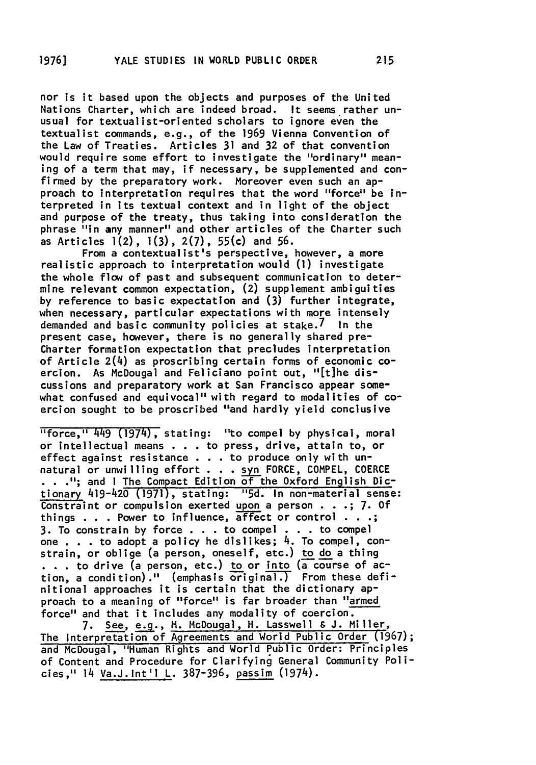nor is it based upon the objects and purposes of the United Nations Charter, which are indeed broad. It seems rather unusual for textualist-oriented scholars to ignore even the textualist commands, e.g., of the **1969** Vienna Convention of the Law of Treaties. Articles **31** and **32** of that convention would require some effort to investigate the "ordinary" meaning of a term that may, if necessary, be supplemented and confirmed **by** the preparatory work. Moreover even such an approach to interpretation requires that the word "force" be interpreted in its textual context and in light of the object and purpose of the treaty, thus taking into consideration the phrase "in any manner" and other articles of the Charter such as Articles 1(2), 1(3), **2(7),** 55(c) and **56.**

From a contextualist's perspective, however, a more realistic approach to interpretation would **(1)** investigate the whole flow of past and subsequent communication to determine relevant common expectation, (2) supplement ambiguities **by** reference to basic expectation and **(3)** further integrate, when necessary, particular expectations with more intensely demanded and basic community policies at stake. $\ell$  In the present case, however, there is no generally shared pre-Charter formation expectation that precludes interpretation of Article 2(4) as proscribing certain forms of economic coercion. As McDougal and Feliciano point out, "[t]he discussions and preparatory work at San Francisco appear somewhat confused and equivocal" with regard to modalities of coercion sought to be proscribed "and hardly yield conclusive

"force," 449 (1974), stating: "to compel **by** physical, moral or intellectual means . **. .** to press, drive, attain to, or effect against resistance **. . .** to produce only with unnatural or unwilling effort **. . . syn** FORCE, COMPEL, COERCE **.";** and I The Compact Edition of the Oxford English Dictionary 419-420 **(1971),** stating: **"5d.** In non-material sense: Constraint or compulsion exerted **upon** a person **. . .; 7. Of** things  $\ldots$  Power to influence, affect or control  $\ldots$ ; **3.** To constrain **by** force **. . .** to compel **. .** to compel one **.** . . to adopt a policy he dislikes; 4. To compel, constrain, or oblige (a person, oneself, etc.) to **do** a thing to drive (a person, etc.) to or into **(a** course of action, a condition)." (emphasis original.) From these definitional approaches it is certain that the dictionary approach to a meaning of "force" is far broader than "armed force" and that it includes any modality of coercion.

**7.** See, **e.g.,** M. McDougal, H. Lasswell **& J.** Miller, The Interpretation of Agreements and World Public Order **(1967);** and McDougal, "Human Rights and World Public Order: Principles of Content and Procedure for Clarifying General Community Policies," 14 Va.J.Int'l L. 387-396, passim (1974).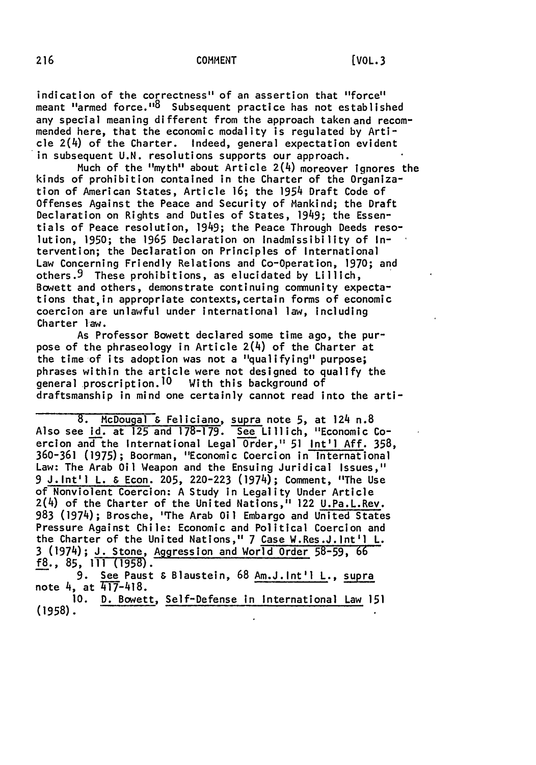#### **COMMENT 216** [VOL.3

indication of the correctness" of an assertion that "force" meant "armed force."<sup>8</sup> Subsequent practice has not established any special meaning different from the approach taken and recommended here, that the economic modality is regulated by Article 2(4) of the Charter. Indeed, general expectation evident in subsequent U.N. resolutions supports our approach.

Much of the "myth" about Article 2(4) moreover Ignores the kinds of prohibition contained in the Charter of the Organization of American States, Article 16; the 1954 Draft Code of Offenses Against the Peace and Security of Mankind; the Draft Declaration on Rights and Duties of States, 1949; the Essentials of Peace resolution, 1949; the Peace Through Deeds resolution, **1950;** the 1965 Declaration on Inadmissibility of Intervention; the Declaration on Principles of International Law Concerning Friendly Relations and Co-Operation, 1970; and others. 9 These prohibitions, as elucidated by Lillich, Bowett and others, demonstrate continuing community expectations that,in appropriate contexts,certain forms of economic coercion are unlawful under international law, including Charter law.

As Professor Bowett declared some time ago, the purpose of the phraseology in Article 2(4) of the Charter at the time-of its adoption was not a "qualifying" purpose; phrases within the article were not designed to qualify the general proscription.<sup>10</sup> With this background of draftsmanship in mind one certainly cannot read into the arti-

8. McDougal **&** Feliciano, supra note **5,** at 124 n.8 Also see id. at 125 and 178-179. See Lillich, "Economic Coercion andthe International Legal Order," **51** Int'l Aff. 358, 360-361 (1975); Boorman, "Economic Coercion in International Law: The Arab Oil Weapon and the Ensuing Juridical Issues," 9 J.Int'l L. & Econ. 205, 220-223 (1974); Comment, "The Use of Nonviolent Coercion: A Study in Legality Under Article 2(4) of the Charter of the United Nations, <sup>i</sup> 122 U.Pa.L.Rev. **983** (1974); Brosche, "The Arab Oil Embargo and United States Pressure Against Chile: Economic and Political Coercion and the Charter of the United Nations," 7 Case W.Res.J.Int'l L. **3** (1974); **J.** Stone, Aggression and World Order 58-59, 66 f8., **85, 111** (1958). **9.** See Paust & Blaustein, **68** Am.J.Int'l L., supra

note 4, at  $417-418$ .

**10.** D. Bowett, Self-Defense in International Law **151 (1958).**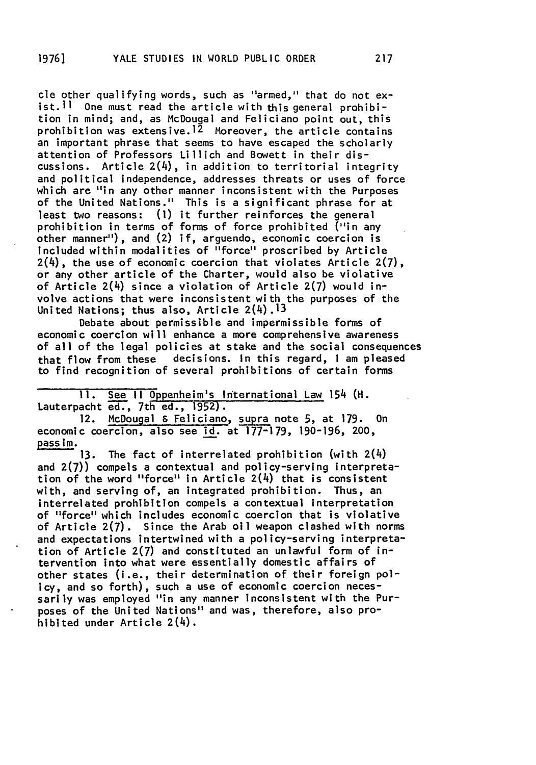cle other qualifying words, such as "armed," that do not exist.  $11$  One must read the article with this general prohibition in mind; and, as McDougal and Feliciano point out, this prohibition was extensive.<sup>12</sup> Moreover, the article contains an important phrase that seems to have escaped the scholarly attention of Professors Lillich and Bowett in their discussions. Article  $2(4)$ , in addition to territorial integrity and political independence, addresses threats or uses of force which are "in any other manner inconsistent with the Purposes of the United Nations." This is a significant phrase for at least two reasons: **(1)** it further reinforces the general prohibition in terms of forms of force prohibited ("in any other manner"), and (2) if, arguendo, economic coercion is Included within modalities of "force" proscribed by Article 2(4), the use of economic coercion that violates Article **2(7),** or any other article of the Charter, would also be violative of Article 2(4) since a violation of Article **2(7)** would involve actions that were inconsistent with the purposes of the United Nations; thus also, Article 2(4).13

Debate about permissible and impermissible forms of economic coercion will enhance a more comprehensive awareness of all of the legal policies at stake and the social consequences that flow from these decisions. In this regard, **I** am pleased to find recognition of several prohibitions of certain forms

**II.** See **II** 0ppenheim's International Law 154 (H. Lauterpacht ed., 7th ed., 1952).

12. McDougal & Feliciano, supra note 5, at 179. On economic coercion, also see id. at 177-179, 190-196, 200, pass im.

**13.** The fact of interrelated prohibition (with 2(4) and **2(7))** compels a contextual and policy-serving interpretation of the word "force" in Article  $2(4)$  that is consistent with, and serving of, an Integrated prohibition. Thus, an interrelated prohibition compels a contextual interpretation of "force" which includes economic coercion that is violative of Article 2(7). Since the Arab oil weapon clashed with norms and expectations intertwined with a policy-serving interpretation of Article 2(7) and constituted an unlawful form of intervention into what were essentially domestic affairs of other states (i.e., their determination of their foreign policy, and so forth), such a use of economic coercion necessarily was employed "in any manner inconsistent with the Purposes of the United Nations" and was, therefore, also prohibited under Article 2(4).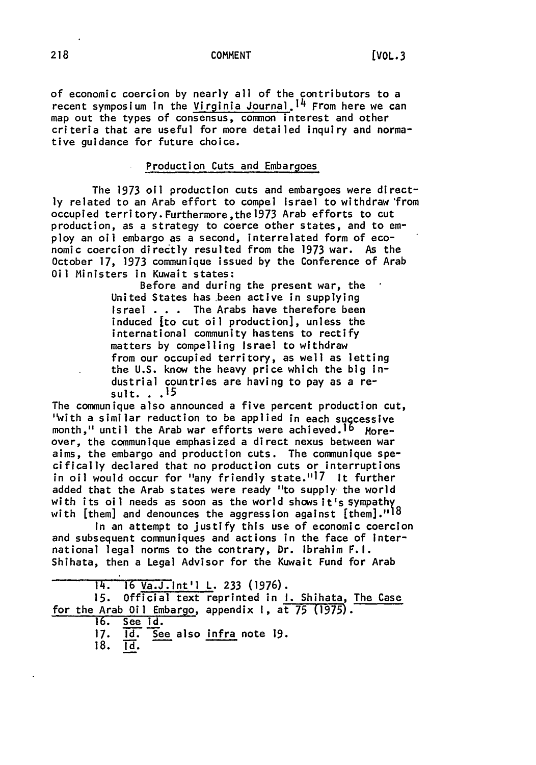### **COMMENT**

of economic coercion **by** nearly all of the contributors to a recent symposium in the Virginia Journal.<sup>14</sup> From here we can map out the types of consensus, common interest and other criteria that are useful for more detailed inquiry and normative guidance for future choice.

### Production Cuts and Embargoes

The **1973** oil production cuts and embargoes were direct**ly** related to an Arab effort to compel Israel to withdraw 'from occupied territory. Furthermore,the **1973** Arab efforts to cut production, as a strategy to coerce other states, and to employ an oil embargo as a second, interrelated form of economic coercion directly resulted from the 1973 war. As the October **17, 1973** communique issued by the Conference of Arab Oil Ministers in Kuwait states:

> Before and during the present war, the United States has been active in supplying Israel **. . .** The Arabs have therefore been induced **[to** cut oil production], unless the international community hastens to rectify matters **by** compelling Israel to withdraw from our occupied territory, as well as letting the **U.S.** know the heavy price which the big industrial countries are having to pay as a result. **.. 15**

The communique also announced a five percent production cut, 'with a similar reduction to be applied in each successive month," until the Arab war efforts were achieved.<sup>16</sup> Moreover, the communique emphasized a direct nexus between war aims, the embargo and production cuts. The communique specifically declared that no production cuts or interruptions in oil would occur for "any friendly state."<sup>17</sup> It further added that the Arab states were ready "to supply the world with its oil needs as soon as the world shows it's sympathy with [them] and denounces the aggression against [them]."18

In an attempt to justify this use of economic coercion and subsequent communiques and actions in the face of International legal norms to the contrary, Dr. Ibrahim F.I. Shihata, then a Legal Advisor for the Kuwait Fund for Arab

14. **16** Va.J.int'l L. **233 (1976).**

**15.** Official text reprinted in **I.** Shihata, The Case for the Arab Oil Embargo, appendix **I,** at **75 (1975).**

**16.** See id.

**17. Id.** See also infra note **19.**

**18. Id.**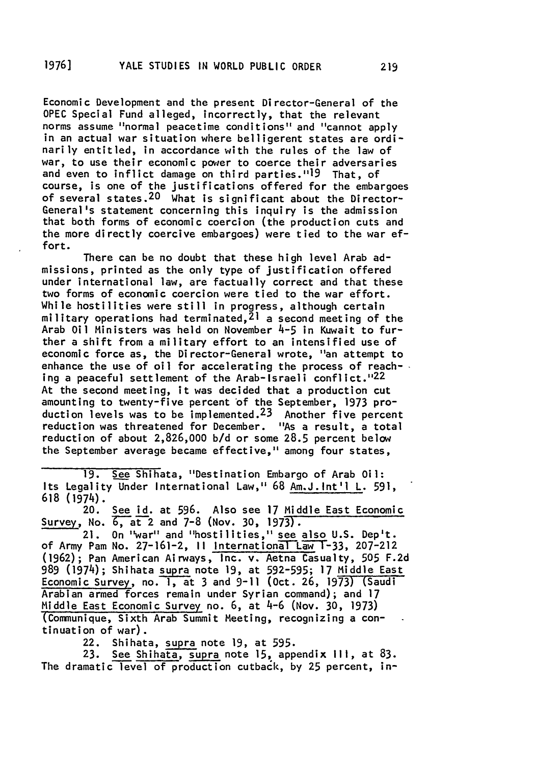Economic Development and the present Director-General of the **OPEC** Special Fund alleged, incorrectly, that the relevant norms assume "normal peacetime conditions" and "cannot apply in an actual war situation where belligerent states are ordinarily entitled, in accordance with the rules of the law of war, to use their economic power to coerce their adversaries and even to inflict damage on third parties."19 That, of course, is one of the justifications offered for the embargoes of several states.  $20$  What is significant about the Director-General's statement concerning this inquiry is the admission that both forms of economic coercion (the production cuts and the more directly coercive embargoes) were tied to the war effort.

There can be no doubt that these high level Arab admissions, printed as the only type of justification offered under international law, are factually correct and that these two forms of economic coercion were tied to the war effort. While hostilities were still in progress, although certain military operations had terminated,  $2<sup>1</sup>$  a second meeting of the Arab Oil Ministers was held on November 4-5 in Kuwait to further a shift from a military effort to an intensified use of economic force as, the Director-General wrote, "an attempt to enhance the use of oil for accelerating the process of reaching a peaceful settlement of the Arab-Israeli conflict."<sup>22</sup> At the second meeting, it was decided that a production cut amounting to twenty-five percent of the September, 1973 production levels was to be implemented.<sup>23</sup> Another five percent reduction was threatened for December. "As a result, a total reduction of about 2,826,000 b/d or some 28.5 percent below the September average became effective," among four states,

**19.** See Shihata, "Destination Embargo of Arab Oil: Its Legality Under International Law," **68** Am.J.Int'l L. 591, **618** (1974).

20. See id. at 596. Also see **17** Middle East Economic Survey, No. C,at2 and 7-8 **(Nov. 30,** 1973).

21. On "war" and "hostilities," see also U.S. Dep't. of Army Pam No. 27-161-2, 11 International Law T-33, 207-212 **(1962);** Pan American Airways, Inc. v. Aetna Casualty, 505 F.2d 989 (1974); Shihata supra note 19, at 592-595; 17 Middle East Economic Survey, no. **I,** at **3** and **9-11** (Oct. **26, 1973)** (Saudi Arabian armed forces remain under Syrian command); and 17 Middle East Economic Survey no. 6, at 4-6 (Nov. 30, 1973) (Communique, Sixth Arab Summit Meeting, recognizing a continuation of war).

22. Shihata, supra note 19, at 595.

**23.** See Shihata, supra note **15,** appendix **III,** at 83. The dramatic level of production cutback, by 25 percent, in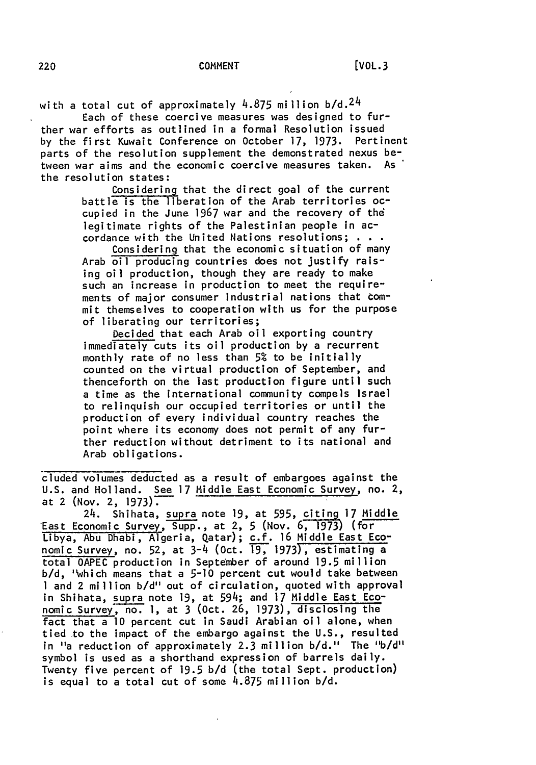with a total cut of approximately  $4.875$  million  $b/d.^24$ Each of these coercive measures was designed to fur-

ther war efforts as outlined in a formal Resolution issued by the first Kuwait Conference on October 17, 1973. Pertinent parts of the resolution supplement the demonstrated nexus between war aims and the economic coercive measures taken. As the resolution states:

Considering that the direct goal of the current battle is the liberation of the Arab territories occupied in the June 1967 war and the recovery of the legitimate rights of the Palestinian people in accordance with the United Nations resolutions; **. . .**

Considering that the economic situation of many Arab oil producing countries does not justify raising oil production, though they are ready to make such an increase in production to meet the requirements of major consumer industrial nations that tommit themselves to cooperation with us for the purpose of liberating our territories;

Decided that each Arab oil exporting country immediately cuts its oil production by a recurrent monthly rate of no less than **5%** to be initially counted on the virtual production of September, and thenceforth on the last production figure until such a time as the international community compels Israel to relinquish our occupied territories or until the production of every individual country reaches the point where its economy does not permit of any further reduction without detriment to its national and Arab obligations.

cluded volumes deducted as a result of embargoes against the U.S. and Holland. See 17 Middle East Economic Survey, no. 2, at 2 (Nov. 2, 1973).

24. Shihata, supra note 19, at 595, citing 17 Middle East Economic Survey, Supp., at 2, 5 (Nov. 6, **173)** (for Libya, Abu Dhabi, Algeria, Qatar); c.f. 16 Middle East Economic Survey, no. 52, at  $3-4$  (Oct.  $\overline{19}$ , 1973), estimating a total OAPEC production in September of around 19.5 million **b/d,** 'which means that a 5-10 percent cut would take between **I** and 2 million b/d" out of circulation, quoted with approval in Shihata, supra note 19, at 594; and 17 Middle East Economic Survey, no. **1,** at 3 (Oct. 26, 1973), disclosing the fact that a **10** percent cut in Saudi Arabian oil alone, when tied to the impact of the embargo against the U.S., resulted in "a reduction of approximately 2.3 million b/d." The "b/d" symbol is used as a shorthand expression of barrels daily. Twenty five percent of 19.5 b/d (the total Sept. production) is equal to a total cut of some 4.875 million b/d.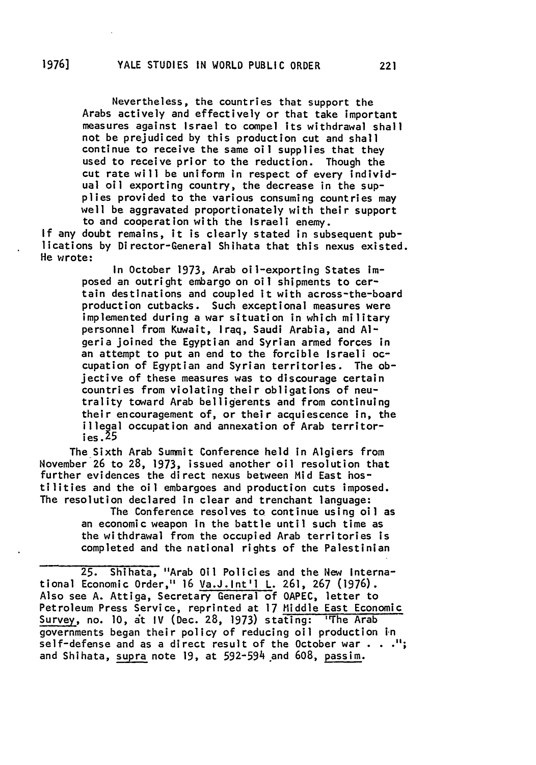Nevertheless, the countries that support the Arabs actively and effectively or that take important measures against Israel to compel its withdrawal shall not be prejudiced **by** this production cut and shall continue to receive the same oil supplies that they used to receive prior to the reduction. Though the cut rate will be uniform in respect of every individual oil exporting country, the decrease in the supplies provided to the various consuming countries may well be aggravated proportionately with their support to and cooperation with the Israeli enemy.

**If** any doubt remains, it is clearly stated in subsequent publications **by** Director-General Shihata that this nexus existed. He wrote:

> In October 1973, Arab oil-exporting States imposed an outright embargo on oil shipments to certain destinations and coupled it with across-the-board production cutbacks. Such exceptional measures were implemented during a war situation in which military personnel from Kuwait, Iraq, Saudi Arabia, and **Al**geria joined the Egyptian and Syrian armed forces in an attempt to put an end to the forcible Israeli occupation of Egyptian and Syrian territories. The objective of these measures was to discourage certain countries from violating their obligations of neutrality toward Arab belligerents and from continuing their encouragement of, or their acquiescence in, the illegal occupation and annexation of Arab territor- **ies. .5**

The Sixth Arab Summit Conference held in Algiers from November **26** to **28, 1973,** issued another oil resolution that further evidences the direct nexus between Mid East hostilities and the oil embargoes and production cuts imposed. The resolution declared in clear and trenchant language:

> The Conference resolves to continue using oil as an economic weapon In the battle until such time as the withdrawal from the occupied Arab territories is completed and the national rights of the Palestinian

**25.** Shihata, "Arab Oil Policies and the New International Economic Order," 16 Va.J.Int'l L. **261, 267 (1976).** Also see **A.** Attiga, Secretary General of **OAPEC,** letter to Petroleum Press Service, reprinted at **17** Middle East Economic Survey, no. **10,** it IV (Dec. **28, 1973)** stating: 'The Arab governments began their policy of reducing oil production in self-defense and as a direct result of the October war  $\cdots$ "; and Shihata, supra note **19,** at 592-594 .and **608,** passim.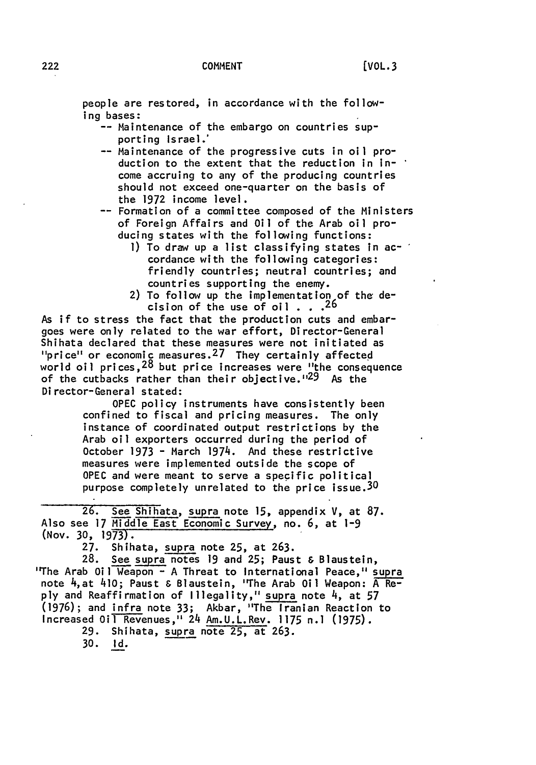people are restored, in accordance with the following bases:

-- Maintenance of the embargo on countries supporting Israel.'

-- Maintenance of the progressive cuts in oil production to the extent that the reduction in income accruing to any of the producing countries should not exceed one-quarter on the basis of the **1972** income level.

-- Formation of a committee composed of the Ministers of Foreign Affairs and Oil of the Arab oil producing states with the following functions:

- **1)** To draw up a list classifying states in accordance with the following categories: friendly countries; neutral countries; and countries supporting the enemy.
- 2) To follow up the implementation of the decision of the use of oil **. . 26**

As if to stress the fact that the production cuts and embargoes were only related to the war effort, Director-General Shihata declared that these measures were not initiated as " $price"$  or economic measures.<sup>27</sup> They certainly affected world oil prices,  $28$  but price increases were "the consequence of the cutbacks rather than their objective."<sup>29</sup> As the Director-General stated:

> **OPEC** policy instruments have consistently been confined to fiscal and pricing measures. The only instance of coordinated output restrictions **by** the Arab oil exporters occurred during the period of October 1973 - March 1974. And these restrictive measures were implemented outside the scope of **OPEC** and were meant to serve a specific political purpose completely unrelated to the price issue.<sup>30</sup>

**26.** See Shihata, supra note **15,** appendix V, at **87.** Also see 17 Middle East Economic Survey, no. **6,** at **1-9** (Nov. **30,** 1973).

**27.** Shihata, supra note **25,** at **263.**

**28.** See supra notes **19** and **25;** Paust & Blaustein, "The Arab Oil Weapon **- A** Threat to International Peace," supra note 4,at 410; Paust & Blaustein, "The Arab Oil Weapon: A Re**ply** and Reaffirmation of Illegality," supra note 4, at 57 **(1976);** and infra note **33;** Akbar, "The Iranian Reaction to Increased Oil Revenues," 24 Am.U.L.Rev. 1175 n.] **(1975).**

**29.** Shihata, supra note **25,** at **263.**

**30. Id.**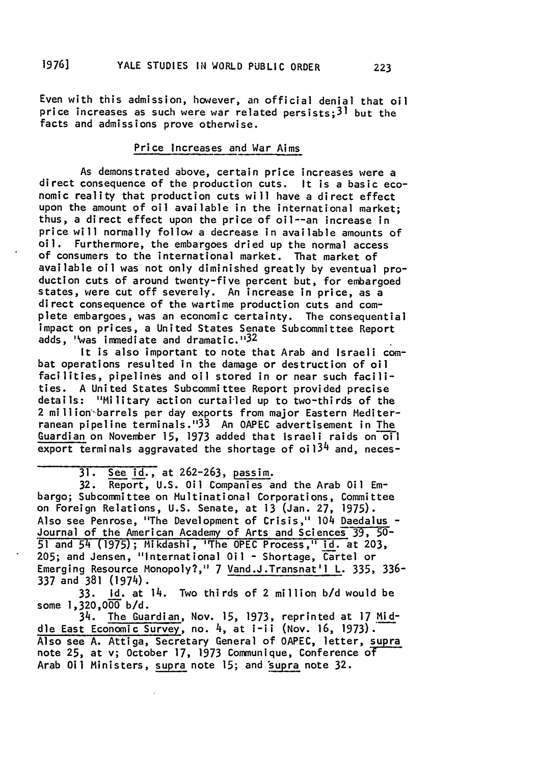Even with this admission, however, an official denial that oil price increases as such were war related persists;  $3<sup>1</sup>$  but the facts and admissions prove otherwise.

### Price Increases **and** War Aims

As demonstrated above, certain price increases were a direct consequence of the production cuts. It is a basic economic reality that production cuts will have a direct effect upon the amount of oil available in the international market; thus, a direct effect upon the price of oil--an increase in price will normally follow a decrease in available amounts of oil. Furthermore, the embargoes dried up the normal access of consumers to the international market. That market of available oil was not only diminished greatly by eventual production cuts of around twenty-five percent but, for embargoed states, were cut off severely. An increase in price, as a direct consequence of the wartime production cuts and complete embargoes, was an economic certainty. The consequential impact on prices, a United States Senate Subcommittee Report adds, "was immediate and dramatic."<sup>32</sup>

It is also important to note that Arab and Israeli combat operations resulted in the damage or destruction of oil facilities, pipelines and oil stored in or near such facilities. A United States Subcommittee Report provided precise details: "Military action curtailed up to two-thirds of the 2 million'barrels per day exports from major Eastern Mediterranean pipeline terminals." <sup>3</sup> 3 An **OAPEC** advertisement in The Guardian on November 15, 1973 added that Israeli raids on-oil export terminals aggravated the shortage of  $o<sup>i</sup>13<sup>4</sup>$  and, neces-

31. See id., at 262-263, passim.

**32.** Report, U.S. Oil Companies and the Arab Oil Embargo; Subcommittee on Multinational Corporations, Committee on Foreign Relations, U.S. Senate, at 13 (Jan. **27,** 1975). Also see Penrose, "The Development of Crisis," 104 Daedalus - Journal of the American Academy of Arts and Sciences **39,** 50- 51 and 54 (1975); Mikdashi, "The OPEC Process," id. at 203, 205; and Jensen, "International Oil - Shortage, Cartel or Emerging Resource Monopoly?," 7 Vand.J.Transnat'l L. 335, 336- 337 and 381 (1974).

33. Id. at 14. Two thirds of 2 million b/d would be some 1,320,000 b/d.

34. The Guardian, Nov. 15, 1973, reprinted at 17 Middle East Economic Survey, no. 4, at i-ii (Nov. 16, 1973). Also see A. Attiga, Secretary General of OAPEC, letter, supra note **25,** at v; October 17, 1973 Communique, Conference **OT** Arab Oil Ministers, supra note 15; and supra note 32.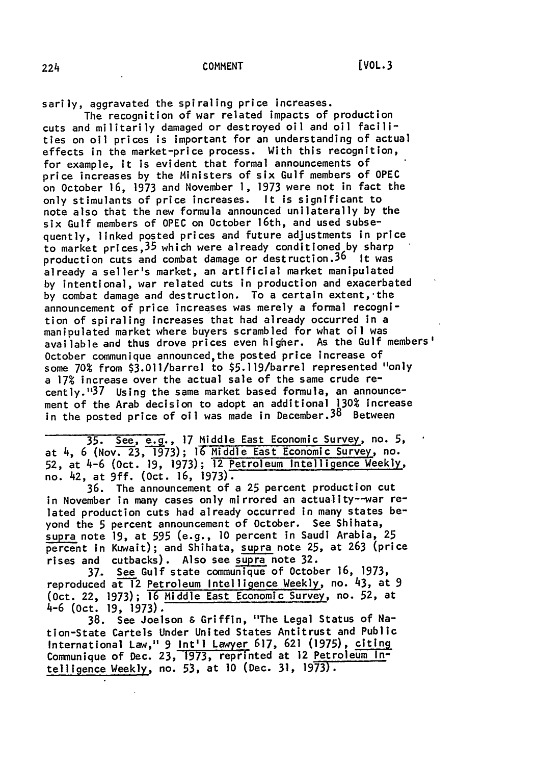sarily, aggravated the spiraling price increases.

The recognition of war related impacts of production cuts and militarily damaged or destroyed oil and oil facilities on oil prices is important for an understanding of actual effects in the market-price process. With this recognition, for example, it is evident that formal announcements of price increases **by** the Ministers of six Gulf members of **OPEC** on October **16, 1973** and November **1, 1973** were not in fact the only stimulants of price increases. It is significant to note also that the new formula announced unilaterally **by** the six Gulf members of **OPEC** on October 16th, and used subsequently, linked posted prices and future adjustments in price to market prices, 35 which were already conditioned by sharp production cuts and combat damage or destruction.<sup>36</sup> It was already a seller's market, an artificial market manipulated by intentional, war related cuts in production and exacerbated **by** combat damage and destruction. To a certain extent,'the announcement of price increases was merely a formal recognition of spiraling increases that had already occurred in a manipulated market where buyers scrambled for what oil was available and thus drove prices even higher. As the Gulf members' October communique announced,the posted price increase of some **70%** from \$3.Oll/barrel to \$5.119/barrel represented "only a **17%** increase over the actual sale of the same crude recently.<sup>1137</sup> Using the same market based formula, an announcement of the Arab decision to adopt an additional **130%** increase in the posted price of oil was made in December.  $3^8$  Between

**35.** See, **. <sup>17</sup>**Middle East Economic Survey, no. **5,** at 4, **6** (Nov. **23, 1973); 16** Middle East Economic Survey\_, no. **52,** at 4-6 (Oct. **19, 1973);** 12 Petroleum Intelligence Weekly, no. 42, at **9ff.** (Oct. **16, 1973).**

**36.** The announcement of a **25** percent production cut in November in many cases only mirrored an actuality--war related production cuts had already occurred in many states beyond the 5 percent announcement of October. See Shihata, supra note **19,** at **595** (e.g., **10** percent in Saudi Arabia, **25** percent in Kuwait); and Shihata, supra note **25,** at **263** (price rises and cutbacks). Also see supra note **32.**

37. See Gulf state communique of October **16, 1973,** reproduced at **l2** Petroleum Intelligence Weekly, no. 43, at **9** (Oct. 22, **1973); 16** Middle East Economic Survey, no. **52,** at 4-6 (Oct. **19, 1973).**

**38.** See Joelson & Griffin, "The Legal Status of Nation-State Cartels Under United States Antitrust and Public International Law," 9 **Int'l** Lawyer 617, **621 (1975),** citing Communique of Dec. **23, 1973, reprinted** at 12 Petroleum **In**telligence Weekly, no. 53, at **10** (Dec. **31,** 1973).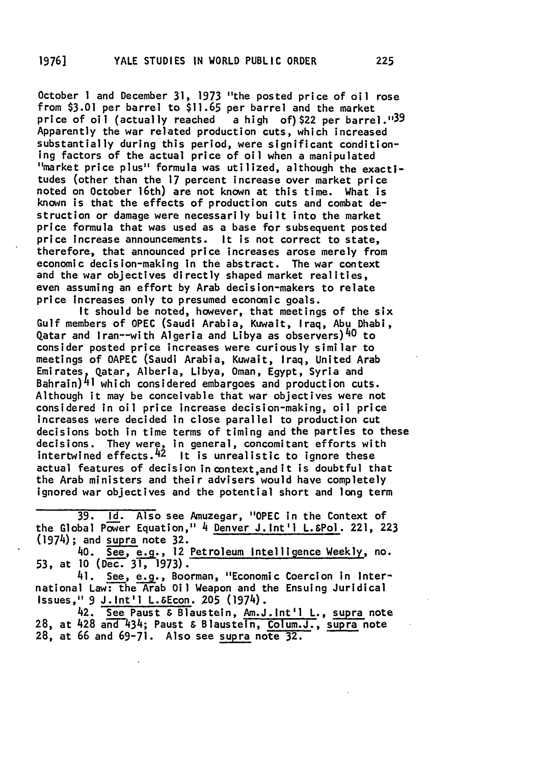October 1 and December 31, **1973** "the posted price of oil rose from **\$3.01** per barrel to \$11.65 per barrel and the market price of oil (actually reached a high of) \$22 per barrel."<sup>39</sup> Apparently the war related production cuts, which increased substantially during this period, were significant condition-<br>ing factors of the actual price of oil when a manipulated "market price plus" formula was utilized, although the exactitudes (other than the **17** percent increase over market price noted on October 16th) are not known at this time. What is known is that the effects of production cuts and combat destruction or damage were necessarily built into the market price formula that was used as a base for subsequent posted price increase announcements. It is not correct to state, therefore, that announced price increases arose merely from economic decision-making in the abstract. The war context and the war objectives directly shaped market realities, even assuming an effort **by** Arab decision-makers to relate price Increases only to presumed economic goals.

It should be noted, however, that meetings of the six Gulf members of **OPEC** (Saudi Arabia, Kuwait, Iraq, Abu Dhabi, Qatar and Iran--with Algeria and Libya as observers)<sup>40</sup> to consider posted price increases were curiously similar to meetings of **OAPEC** (Saudi Arabia, Kuwait, Iraq, United Arab Emirates Qatar, Alberia, Libya, Oman, **Egypt,** Syria and Bahrain)41 which considered embargoes and production cuts. Although it may be conceivable that war objectives were not considered in oil price increase decision-making, oil price increases were decided in close parallel to production cut decisions both in time terms of timing and the parties to these decisions. They were, in general, concomitant efforts with intertwined effects.<sup>42</sup> It is unrealistic to ignore these actual features of decision in context, and it is doubtful that the Arab ministers and their advisers would have completely ignored war objectives and the potential short and long term

**39. Id.** Also see Amuzegar, **"OPEC** in the Context of the Global Power Equation," 4 Denver J.Int'l L.&Pol. 221, **223** (1974); and supra note **32.**

40. **See, e.g.,** 12 Petroleum Intelligence Weekly, no. **53,** at **10** (Dec. **31,** 1973).

41. See, **e.g.,** Boorman, "Economic Coercion in International Law: the Arab Oil Weapon and the Ensuing Juridical Issues," 9 J.Int'l L.&Econ. **205** (1974).

42. **See** Paust **&** Blaustein, Am.J.Int'l **L.,** supra note 28, at 428 and 434; Paust & Blaustein, Colum.J., supra note **28,** at **66** and **69-71.** Also see supra note **32.**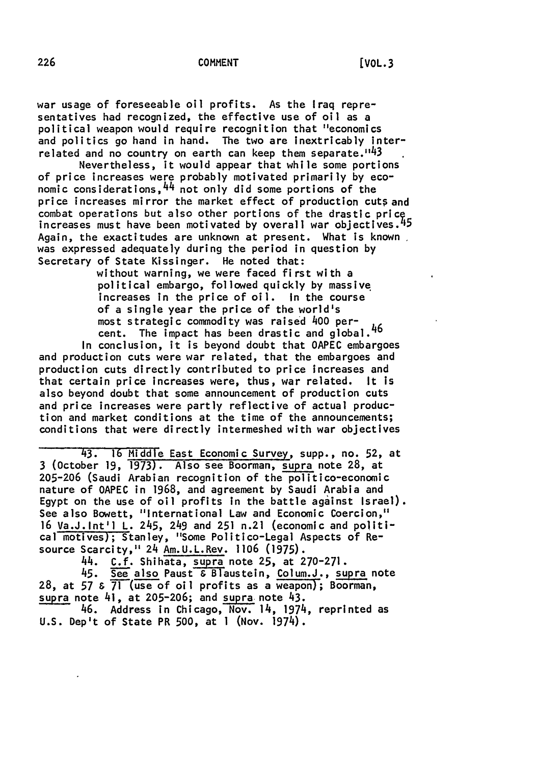war usage of foreseeable oil profits. As the Iraq representatives had recognized, the effective use of oil as a political weapon would require recognition that "economics and politics go hand in hand. The two are inextricably interrelated and no country on earth can keep them separate.  $143$ 

Nevertheless, it would appear that while some portions of price increases were probably motivated primarily **by** economic considerations,  $44$  not only did some portions of the price increases mirror the market effect of production cuts and combat operations but also other portions of the drastic price increases must have been motivated **by** overall war objectives.'15 Again, the exactitudes are unknown at present. What is known was expressed adequately during the period in question **by** Secretary of State Kissinger. He noted that:

> without warning, we were faced first with a political embargo, followed quickly **by** massive increases in the price of oil. In the course of a single year the price of the world's most strategic commodity was raised 400 percent. The impact has been drastic and global.<sup>46</sup>

In conclusion, it is beyond doubt that **OAPEC** embargoes and production cuts were war related, that the embargoes and production cuts directly contributed to price increases and that certain price increases were, thus, war related. It is also beyond doubt that some announcement of production cuts and price increases were partly reflective of actual production and market conditions at the time of the announcements; conditions that were directly intermeshed with war objectives

43. **16** Middle East Economic Survey, supp., no. **52,** at 3 (October **19, 1973).** Also see Boorman, supra note **28,** at **205-206** (Saudi Arabian recognition of the politico-economic nature of **OAPEC** in **1968,** and agreement **by** Saudi Arabia and **Egypt** on the use of oil profits in the battle against Israel). See also Bowett, "International Law and Economic Coercion," **16** Va.J.Int'l L. 245, 249 and **251** n.21 (economic and political motives); Stanley, "Some Politico-Legal Aspects of Resource Scarcity," 24 Am.U.L.Rev. **1106 (1975).**

44. **C.f.** Shihata, **supra** note **25,** at **270-271.**

45. See also Paust & Blaustein, Colum.J., supra note 28, at 57 &  $\overline{71}$  (use of oil profits as a weapon); Boorman, supra note 41, at **205-206;** and supra note 43.

46. Address in Chicago, Nov. 14, 1974, reprinted as **U.S.** Dep't of State PR **500,** at 1 (Nov. 1974).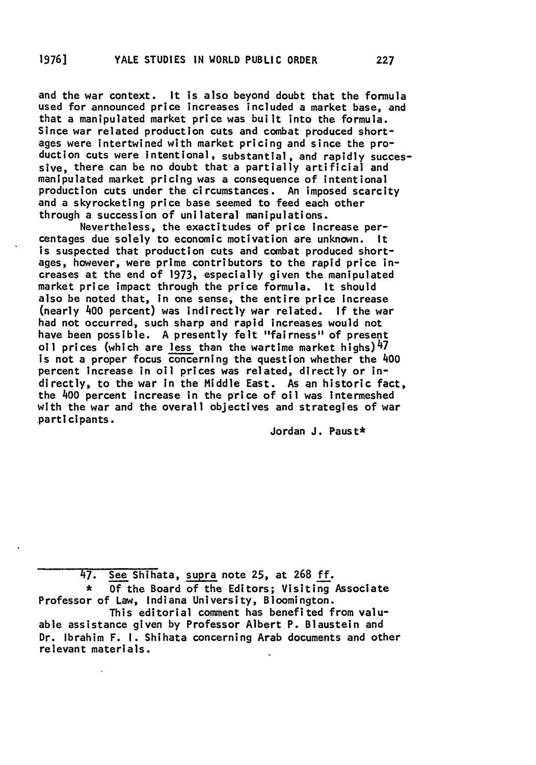and the war context. It is also beyond doubt that the formula used for announced price increases included a market base, and that a manipulated market price was built into the formula. Since war related production cuts and combat produced shortages were intertwined with market pricing and since the production cuts were intentional, substantial, and rapidly successive, there can be no doubt that a partially artificial and manipulated market pricing was a consequence of intentional production cuts under the circumstances. An imposed scarcity and a skyrocketing price base seemed to feed each other through a succession of unilateral manipulations.

Nevertheless, the exactitudes of price increase percentages due solely to economic motivation are unknown. It is suspected that production cuts and combat produced shortages, however, were prime contributors to the rapid price increases at the end of **1973,** especially given the manipulated market price impact through the price formula. It should also be noted that, In one sense, the entire price Increase (nearly 400 percent) was indirectly war related. **If** the war had not occurred, such sharp and rapid increases would not have been possible. **A** presently felt "fairness" of present oil prices (which are less than the wartime market highs)  $47$ is not a proper focus concerning the question whether the 400 percent increase in oil prices was related, directly or indirectly, to the war in the Middle East. As an historic fact, the 400 percent increase in the price of oil was intermeshed with the war and the overall objectives and strategies of war partI **ci** pants.

Jordan **J.** Paust\*

47. See Shihata, supra note **25,** at **268 ff.**

\* **Of** the Board of the Editors; Visiting Associate Professor of Law, Indiana University, Bloomington.

This editorial comment has benefited from valuable assistance given **by** Professor Albert P. Blaustein and Dr. Ibrahim F. **I.** Shihata concerning Arab documents and other relevant materials.